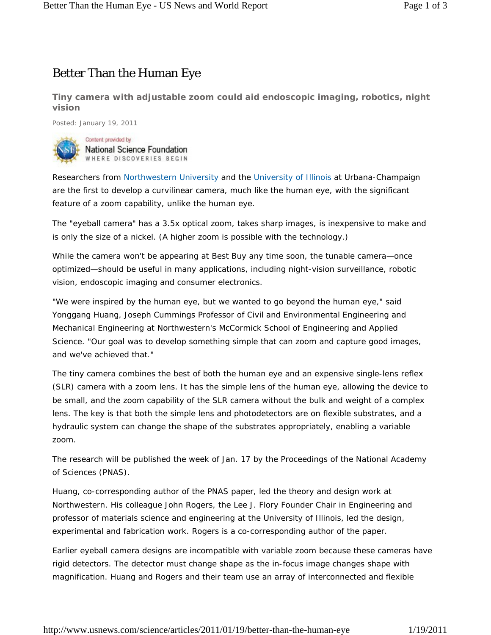## Better Than the Human Eye

**Tiny camera with adjustable zoom could aid endoscopic imaging, robotics, night vision**

Posted: January 19, 2011



Content provided by National Science Foundation WHERE DISCOVERIES BEGIN

Researchers from Northwestern University and the University of Illinois at Urbana-Champaign are the first to develop a curvilinear camera, much like the human eye, with the significant feature of a zoom capability, unlike the human eye.

The "eyeball camera" has a 3.5x optical zoom, takes sharp images, is inexpensive to make and is only the size of a nickel. (A higher zoom is possible with the technology.)

While the camera won't be appearing at Best Buy any time soon, the tunable camera—once optimized—should be useful in many applications, including night-vision surveillance, robotic vision, endoscopic imaging and consumer electronics.

"We were inspired by the human eye, but we wanted to go beyond the human eye," said Yonggang Huang, Joseph Cummings Professor of Civil and Environmental Engineering and Mechanical Engineering at Northwestern's McCormick School of Engineering and Applied Science. "Our goal was to develop something simple that can zoom and capture good images, and we've achieved that."

The tiny camera combines the best of both the human eye and an expensive single-lens reflex (SLR) camera with a zoom lens. It has the simple lens of the human eye, allowing the device to be small, and the zoom capability of the SLR camera without the bulk and weight of a complex lens. The key is that both the simple lens and photodetectors are on flexible substrates, and a hydraulic system can change the shape of the substrates appropriately, enabling a variable zoom.

The research will be published the week of Jan. 17 by the *Proceedings of the National Academy of Sciences* (PNAS).

Huang, co-corresponding author of the PNAS paper, led the theory and design work at Northwestern. His colleague John Rogers, the Lee J. Flory Founder Chair in Engineering and professor of materials science and engineering at the University of Illinois, led the design, experimental and fabrication work. Rogers is a co-corresponding author of the paper.

Earlier eyeball camera designs are incompatible with variable zoom because these cameras have rigid detectors. The detector must change shape as the in-focus image changes shape with magnification. Huang and Rogers and their team use an array of interconnected and flexible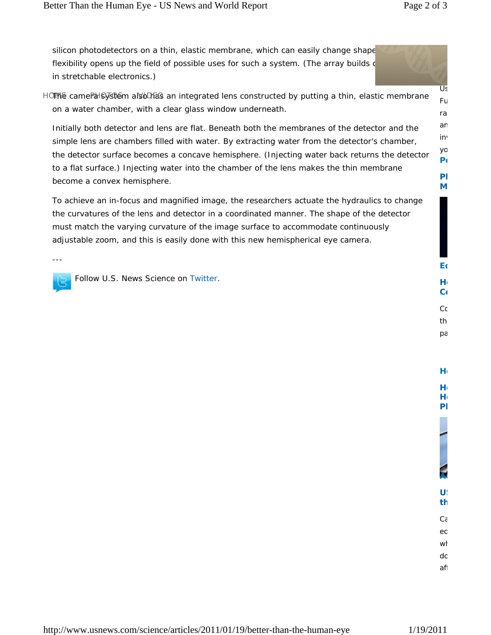**Be**

an inv yo **Po Ph M**

silicon photodetectors on a thin, elastic membrane, which can easily change shape flexibility opens up the field of possible uses for such a system. (The array builds  $\mathsf{d}$ in stretchable electronics.)

HOME camePalSystem als bDEas an integrated lens constructed by putting a thin, elastic membrane on a water chamber, with a clear glass window underneath. Us Fu ra

Initially both detector and lens are flat. Beneath both the membranes of the detector and the simple lens are chambers filled with water. By extracting water from the detector's chamber, the detector surface becomes a concave hemisphere. (Injecting water back returns the detector to a flat surface.) Injecting water into the chamber of the lens makes the thin membrane become a convex hemisphere.

To achieve an in-focus and magnified image, the researchers actuate the hydraulics to change the curvatures of the lens and detector in a coordinated manner. The shape of the detector must match the varying curvature of the image surface to accommodate continuously adjustable zoom, and this is easily done with this new hemispherical eye camera.

---

Follow U.S. News Science on Twitter.

pa

**He Pl**

wl dc aft

 $C\epsilon$ ec